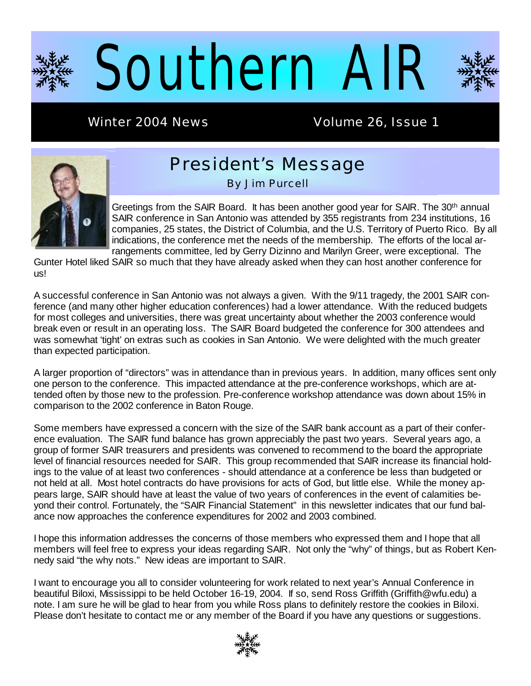

Winter 2004 News **Volume 26, Issue 1** 



# President's Message

By Jim Purcell

Greetings from the SAIR Board. It has been another good year for SAIR. The 30<sup>th</sup> annual SAIR conference in San Antonio was attended by 355 registrants from 234 institutions, 16 companies, 25 states, the District of Columbia, and the U.S. Territory of Puerto Rico. By all indications, the conference met the needs of the membership. The efforts of the local arrangements committee, led by Gerry Dizinno and Marilyn Greer, were exceptional. The

Gunter Hotel liked SAIR so much that they have already asked when they can host another conference for us!

A successful conference in San Antonio was not always a given. With the 9/11 tragedy, the 2001 SAIR conference (and many other higher education conferences) had a lower attendance. With the reduced budgets for most colleges and universities, there was great uncertainty about whether the 2003 conference would break even or result in an operating loss. The SAIR Board budgeted the conference for 300 attendees and was somewhat 'tight' on extras such as cookies in San Antonio. We were delighted with the much greater than expected participation.

A larger proportion of "directors" was in attendance than in previous years. In addition, many offices sent only one person to the conference. This impacted attendance at the pre-conference workshops, which are attended often by those new to the profession. Pre-conference workshop attendance was down about 15% in comparison to the 2002 conference in Baton Rouge.

Some members have expressed a concern with the size of the SAIR bank account as a part of their conference evaluation. The SAIR fund balance has grown appreciably the past two years. Several years ago, a group of former SAIR treasurers and presidents was convened to recommend to the board the appropriate level of financial resources needed for SAIR. This group recommended that SAIR increase its financial holdings to the value of at least two conferences - should attendance at a conference be less than budgeted or not held at all. Most hotel contracts do have provisions for acts of God, but little else. While the money appears large, SAIR should have at least the value of two years of conferences in the event of calamities beyond their control. Fortunately, the "SAIR Financial Statement" in this newsletter indicates that our fund balance now approaches the conference expenditures for 2002 and 2003 combined.

I hope this information addresses the concerns of those members who expressed them and I hope that all members will feel free to express your ideas regarding SAIR. Not only the "why" of things, but as Robert Kennedy said "the why nots." New ideas are important to SAIR.

I want to encourage you all to consider volunteering for work related to next year's Annual Conference in beautiful Biloxi, Mississippi to be held October 16-19, 2004. If so, send Ross Griffith (Griffith@wfu.edu) a note. I am sure he will be glad to hear from you while Ross plans to definitely restore the cookies in Biloxi. Please don't hesitate to contact me or any member of the Board if you have any questions or suggestions.

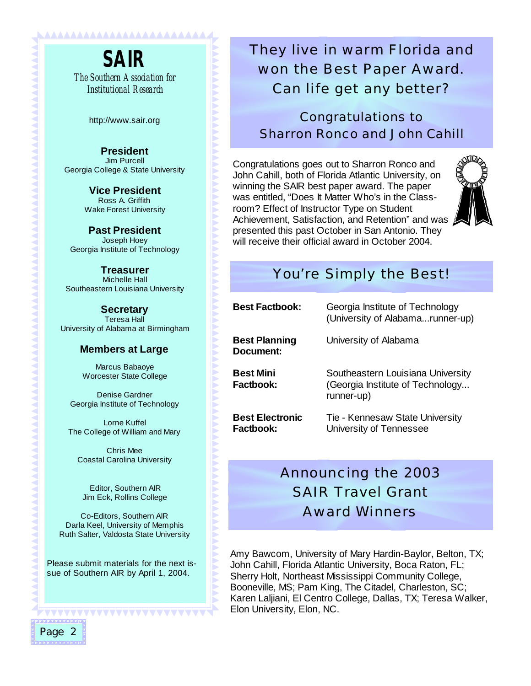**SAIR**  *The Southern Association for Institutional Research*

<u>NAAAAAAAAAAAAAAAAAAAAAAA</u>

http://www.sair.org

**President**  Jim Purcell Georgia College & State University

> **Vice President**  Ross A. Griffith Wake Forest University

**Past President**  Joseph Hoey Georgia Institute of Technology

**Treasurer** Michelle Hall Southeastern Louisiana University

**Secretary** Teresa Hall University of Alabama at Birmingham

### **Members at Large**

Marcus Babaoye Worcester State College

Denise Gardner Georgia Institute of Technology

Lorne Kuffel The College of William and Mary

Chris Mee Coastal Carolina University

Editor, Southern AIR Jim Eck, Rollins College

Co-Editors, Southern AIR Darla Keel, University of Memphis Ruth Salter, Valdosta State University

Please submit materials for the next issue of Southern AIR by April 1, 2004.

WWW

## They live in warm Florida and won the Best Paper Award. Can life get any better?

Congratulations to Sharron Ronco and John Cahill

Congratulations goes out to Sharron Ronco and John Cahill, both of Florida Atlantic University, on winning the SAIR best paper award. The paper was entitled, "Does It Matter Who's in the Classroom? Effect of Instructor Type on Student Achievement, Satisfaction, and Retention" and was presented this past October in San Antonio. They will receive their official award in October 2004.



## You're Simply the Best!

| <b>Best Factbook:</b>               | Georgia Institute of Technology<br>(University of Alabamarunner-up)                 |  |  |
|-------------------------------------|-------------------------------------------------------------------------------------|--|--|
| <b>Best Planning</b><br>Document:   | University of Alabama                                                               |  |  |
| <b>Best Mini</b><br>Factbook:       | Southeastern Louisiana University<br>(Georgia Institute of Technology<br>runner-up) |  |  |
| <b>Best Electronic</b><br>Factbook: | Tie - Kennesaw State University<br>University of Tennessee                          |  |  |

## Announcing the 2003 SAIR Travel Grant Award Winners

Amy Bawcom, University of Mary Hardin-Baylor, Belton, TX; John Cahill, Florida Atlantic University, Boca Raton, FL; Sherry Holt, Northeast Mississippi Community College, Booneville, MS; Pam King, The Citadel, Charleston, SC; Karen Laljiani, El Centro College, Dallas, TX; Teresa Walker, Elon University, Elon, NC.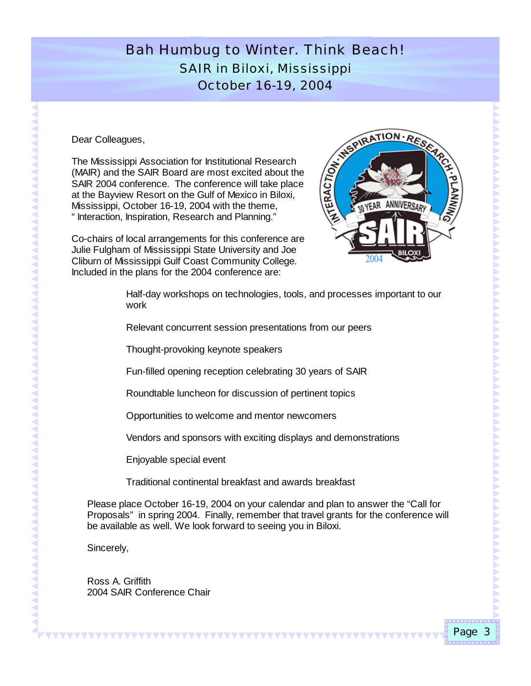## Bah Humbug to Winter. Think *Beach*! SAIR in Biloxi, Mississippi October 16-19, 2004

Dear Colleagues,

The Mississippi Association for Institutional Research (MAIR) and the SAIR Board are most excited about the SAIR 2004 conference. The conference will take place at the Bayview Resort on the Gulf of Mexico in Biloxi, Mississippi, October 16-19, 2004 with the theme, " Interaction, Inspiration, Research and Planning."

Co-chairs of local arrangements for this conference are Julie Fulgham of Mississippi State University and Joe Cliburn of Mississippi Gulf Coast Community College. Included in the plans for the 2004 conference are:



Half-day workshops on technologies, tools, and processes important to our work

Relevant concurrent session presentations from our peers

Thought-provoking keynote speakers

Fun-filled opening reception celebrating 30 years of SAIR

Roundtable luncheon for discussion of pertinent topics

Opportunities to welcome and mentor newcomers

Vendors and sponsors with exciting displays and demonstrations

Enjoyable special event

Traditional continental breakfast and awards breakfast

<u> 111111111111111111111111111111111</u>

Please place October 16-19, 2004 on your calendar and plan to answer the "Call for Proposals" in spring 2004. Finally, remember that travel grants for the conference will be available as well. We look forward to seeing you in Biloxi.

Sincerely,

Ross A. Griffith 2004 SAIR Conference Chair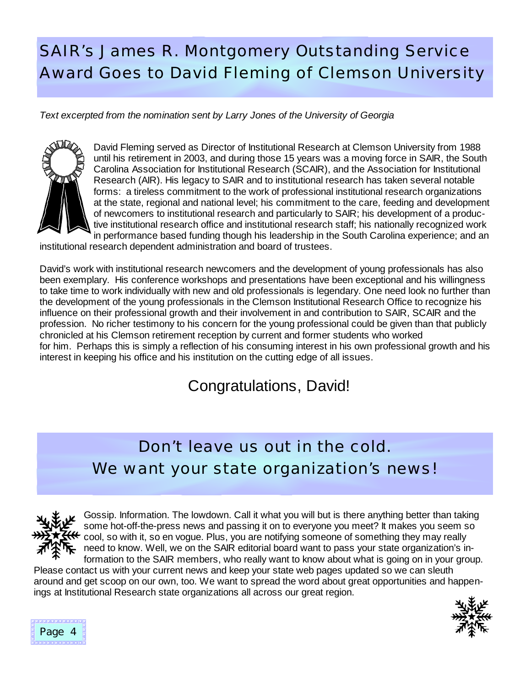# SAIR's James R. Montgomery Outstanding Service Award Goes to David Fleming of Clemson University

*Text excerpted from the nomination sent by Larry Jones of the University of Georgia* 



David Fleming served as Director of Institutional Research at Clemson University from 1988 until his retirement in 2003, and during those 15 years was a moving force in SAIR, the South Carolina Association for Institutional Research (SCAIR), and the Association for Institutional Research (AIR). His legacy to SAIR and to institutional research has taken several notable forms: a tireless commitment to the work of professional institutional research organizations at the state, regional and national level; his commitment to the care, feeding and development of newcomers to institutional research and particularly to SAIR; his development of a productive institutional research office and institutional research staff; his nationally recognized work in performance based funding though his leadership in the South Carolina experience; and an

institutional research dependent administration and board of trustees.

David's work with institutional research newcomers and the development of young professionals has also been exemplary. His conference workshops and presentations have been exceptional and his willingness to take time to work individually with new and old professionals is legendary. One need look no further than the development of the young professionals in the Clemson Institutional Research Office to recognize his influence on their professional growth and their involvement in and contribution to SAIR, SCAIR and the profession. No richer testimony to his concern for the young professional could be given than that publicly chronicled at his Clemson retirement reception by current and former students who worked for him. Perhaps this is simply a reflection of his consuming interest in his own professional growth and his interest in keeping his office and his institution on the cutting edge of all issues.

## Congratulations, David!

# Don't leave us out in the cold. We want your state organization's news!



Gossip. Information. The lowdown. Call it what you will but is there anything better than taking some hot-off-the-press news and passing it on to everyone you meet? It makes you seem so  $\leftarrow$  cool, so with it, so en vogue. Plus, you are notifying someone of something they may really need to know. Well, we on the SAIR editorial board want to pass your state organization's information to the SAIR members, who really want to know about what is going on in your group.

Please contact us with your current news and keep your state web pages updated so we can sleuth around and get scoop on our own, too. We want to spread the word about great opportunities and happenings at Institutional Research state organizations all across our great region.



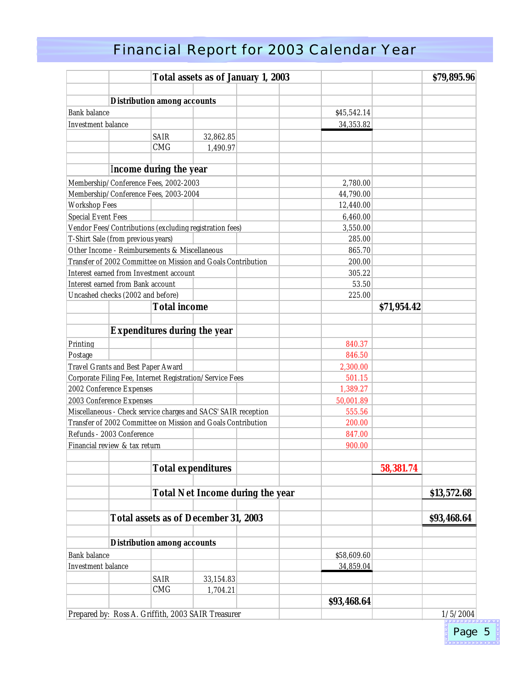# Financial Report for 2003 Calendar Year

|                                                                                                |                                               |                                    |                                                              | <b>Total assets as of January 1, 2003</b> |                        |             | \$79,895.96 |
|------------------------------------------------------------------------------------------------|-----------------------------------------------|------------------------------------|--------------------------------------------------------------|-------------------------------------------|------------------------|-------------|-------------|
|                                                                                                |                                               |                                    |                                                              |                                           |                        |             |             |
|                                                                                                |                                               | <b>Distribution among accounts</b> |                                                              |                                           |                        |             |             |
| <b>Bank balance</b>                                                                            |                                               |                                    |                                                              |                                           | \$45,542.14            |             |             |
| Investment balance                                                                             |                                               |                                    |                                                              |                                           | 34,353.82              |             |             |
|                                                                                                |                                               | <b>SAIR</b>                        | 32,862.85                                                    |                                           |                        |             |             |
|                                                                                                |                                               | <b>CMG</b>                         | 1,490.97                                                     |                                           |                        |             |             |
|                                                                                                |                                               | <b>Income during the year</b>      |                                                              |                                           |                        |             |             |
|                                                                                                | Membership/Conference Fees, 2002-2003         |                                    |                                                              |                                           | 2,780.00               |             |             |
|                                                                                                | Membership/Conference Fees, 2003-2004         |                                    |                                                              |                                           |                        |             |             |
| <b>Workshop Fees</b>                                                                           |                                               |                                    |                                                              |                                           | 44,790.00<br>12,440.00 |             |             |
|                                                                                                |                                               |                                    |                                                              |                                           |                        |             |             |
| <b>Special Event Fees</b>                                                                      |                                               |                                    |                                                              |                                           | 6,460.00               |             |             |
|                                                                                                |                                               |                                    | Vendor Fees/Contributions (excluding registration fees)      |                                           | 3,550.00               |             |             |
|                                                                                                | T-Shirt Sale (from previous years)            |                                    |                                                              |                                           | 285.00                 |             |             |
|                                                                                                | Other Income - Reimbursements & Miscellaneous |                                    |                                                              |                                           | 865.70                 |             |             |
|                                                                                                |                                               |                                    | Transfer of 2002 Committee on Mission and Goals Contribution |                                           | 200.00                 |             |             |
|                                                                                                | Interest earned from Investment account       |                                    |                                                              |                                           | 305.22                 |             |             |
|                                                                                                | Interest earned from Bank account             |                                    |                                                              |                                           | 53.50                  |             |             |
|                                                                                                | Uncashed checks (2002 and before)             |                                    |                                                              |                                           | 225.00                 |             |             |
|                                                                                                |                                               | <b>Total income</b>                |                                                              |                                           |                        | \$71,954.42 |             |
|                                                                                                |                                               |                                    | <b>Expenditures during the year</b>                          |                                           |                        |             |             |
| Printing                                                                                       |                                               |                                    |                                                              |                                           | 840.37                 |             |             |
| Postage                                                                                        |                                               |                                    |                                                              |                                           | 846.50                 |             |             |
|                                                                                                |                                               |                                    |                                                              |                                           | 2,300.00               |             |             |
| Travel Grants and Best Paper Award<br>Corporate Filing Fee, Internet Registration/Service Fees |                                               |                                    | 501.15                                                       |                                           |                        |             |             |
|                                                                                                | 2002 Conference Expenses                      |                                    |                                                              |                                           | 1,389.27               |             |             |
|                                                                                                |                                               |                                    |                                                              |                                           | 50,001.89              |             |             |
| 2003 Conference Expenses<br>Miscellaneous - Check service charges and SACS' SAIR reception     |                                               |                                    | 555.56                                                       |                                           |                        |             |             |
| Transfer of 2002 Committee on Mission and Goals Contribution                                   |                                               |                                    | 200.00                                                       |                                           |                        |             |             |
| Refunds - 2003 Conference                                                                      |                                               |                                    | 847.00                                                       |                                           |                        |             |             |
| Financial review & tax return                                                                  |                                               |                                    | 900.00                                                       |                                           |                        |             |             |
|                                                                                                |                                               |                                    |                                                              |                                           |                        |             |             |
|                                                                                                |                                               |                                    | <b>Total expenditures</b>                                    |                                           |                        | 58,381.74   |             |
|                                                                                                |                                               |                                    |                                                              | <b>Total Net Income during the year</b>   |                        |             | \$13,572.68 |
|                                                                                                |                                               |                                    |                                                              |                                           |                        |             |             |
|                                                                                                |                                               |                                    | <b>Total assets as of December 31, 2003</b>                  |                                           |                        |             | \$93,468.64 |
|                                                                                                |                                               |                                    |                                                              |                                           |                        |             |             |
| <b>Distribution among accounts</b><br><b>Bank</b> balance                                      |                                               | \$58,609.60                        |                                                              |                                           |                        |             |             |
| Investment balance                                                                             |                                               |                                    |                                                              | 34,859.04                                 |                        |             |             |
|                                                                                                |                                               |                                    |                                                              |                                           |                        |             |             |
|                                                                                                |                                               | SAIR                               | 33,154.83                                                    |                                           |                        |             |             |
|                                                                                                |                                               | CMG                                | 1,704.21                                                     |                                           |                        |             |             |
|                                                                                                |                                               |                                    |                                                              |                                           | \$93,468.64            |             |             |
|                                                                                                |                                               |                                    | Prepared by: Ross A. Griffith, 2003 SAIR Treasurer           |                                           |                        |             | 1/5/2004    |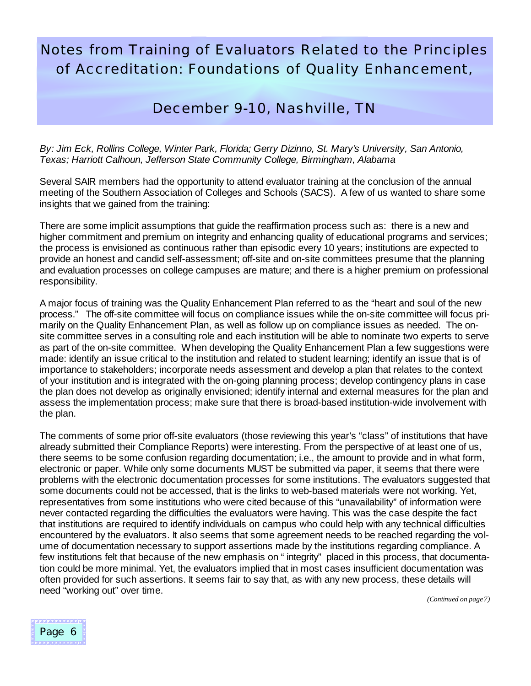## Notes from Training of Evaluators Related to the Principles of Accreditation: Foundations of Quality Enhancement,

### December 9-10, Nashville, TN

*By: Jim Eck, Rollins College, Winter Park, Florida; Gerry Dizinno, St. Mary's University, San Antonio, Texas; Harriott Calhoun, Jefferson State Community College, Birmingham, Alabama*

Several SAIR members had the opportunity to attend evaluator training at the conclusion of the annual meeting of the Southern Association of Colleges and Schools (SACS). A few of us wanted to share some insights that we gained from the training:

There are some implicit assumptions that guide the reaffirmation process such as: there is a new and higher commitment and premium on integrity and enhancing quality of educational programs and services; the process is envisioned as continuous rather than episodic every 10 years; institutions are expected to provide an honest and candid self-assessment; off-site and on-site committees presume that the planning and evaluation processes on college campuses are mature; and there is a higher premium on professional responsibility.

A major focus of training was the Quality Enhancement Plan referred to as the "heart and soul of the new process." The off-site committee will focus on compliance issues while the on-site committee will focus primarily on the Quality Enhancement Plan, as well as follow up on compliance issues as needed. The onsite committee serves in a consulting role and each institution will be able to nominate two experts to serve as part of the on-site committee. When developing the Quality Enhancement Plan a few suggestions were made: identify an issue critical to the institution and related to student learning; identify an issue that is of importance to stakeholders; incorporate needs assessment and develop a plan that relates to the context of your institution and is integrated with the on-going planning process; develop contingency plans in case the plan does not develop as originally envisioned; identify internal and external measures for the plan and assess the implementation process; make sure that there is broad-based institution-wide involvement with the plan.

The comments of some prior off-site evaluators (those reviewing this year's "class" of institutions that have already submitted their Compliance Reports) were interesting. From the perspective of at least one of us, there seems to be some confusion regarding documentation; i.e., the amount to provide and in what form, electronic or paper. While only some documents MUST be submitted via paper, it seems that there were problems with the electronic documentation processes for some institutions. The evaluators suggested that some documents could not be accessed, that is the links to web-based materials were not working. Yet, representatives from some institutions who were cited because of this "unavailability" of information were never contacted regarding the difficulties the evaluators were having. This was the case despite the fact that institutions are required to identify individuals on campus who could help with any technical difficulties encountered by the evaluators. It also seems that some agreement needs to be reached regarding the volume of documentation necessary to support assertions made by the institutions regarding compliance. A few institutions felt that because of the new emphasis on "integrity" placed in this process, that documentation could be more minimal. Yet, the evaluators implied that in most cases insufficient documentation was often provided for such assertions. It seems fair to say that, as with any new process, these details will need "working out" over time.



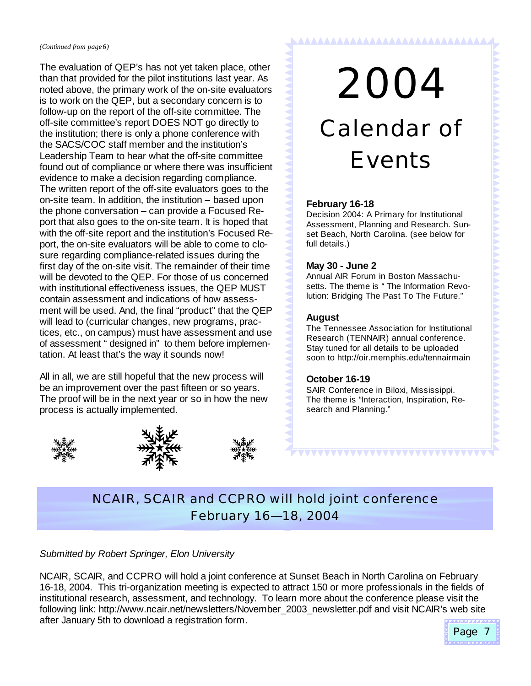*(Continued from page 6)*

The evaluation of QEP's has not yet taken place, other than that provided for the pilot institutions last year. As noted above, the primary work of the on-site evaluators is to work on the QEP, but a secondary concern is to follow-up on the report of the off-site committee. The off-site committee's report DOES NOT go directly to the institution; there is only a phone conference with the SACS/COC staff member and the institution's Leadership Team to hear what the off-site committee found out of compliance or where there was insufficient evidence to make a decision regarding compliance. The written report of the off-site evaluators goes to the on-site team. In addition, the institution – based upon the phone conversation – can provide a Focused Report that also goes to the on-site team. It is hoped that with the off-site report and the institution's Focused Report, the on-site evaluators will be able to come to closure regarding compliance-related issues during the first day of the on-site visit. The remainder of their time will be devoted to the QEP. For those of us concerned with institutional effectiveness issues, the QEP MUST contain assessment and indications of how assessment will be used. And, the final "product" that the QEP will lead to (curricular changes, new programs, practices, etc., on campus) must have assessment and use of assessment "designed in" to them before implementation. At least that's the way it sounds now!

All in all, we are still hopeful that the new process will be an improvement over the past fifteen or so years. The proof will be in the next year or so in how the new process is actually implemented.







2004

<u> AAAAAAAAAAAAAAAAAAAAAAAAAAAA</u>

# Calendar of Events

### **February 16-18**

Decision 2004: A Primary for Institutional Assessment, Planning and Research. Sunset Beach, North Carolina. (see below for full details.)

### **May 30 - June 2**

Annual AIR Forum in Boston Massachusetts. The theme is "The Information Revolution: Bridging The Past To The Future."

### **August**

The Tennessee Association for Institutional Research (TENNAIR) annual conference. Stay tuned for all details to be uploaded soon to http://oir.memphis.edu/tennairmain

### **October 16-19**

SAIR Conference in Biloxi, Mississippi. The theme is "Interaction, Inspiration, Research and Planning."

**AAAAAAAAAAAAAAAA** 

## NCAIR, SCAIR and CCPRO will hold joint conference February 16— 18, 2004

### *Submitted by Robert Springer, Elon University*

NCAIR, SCAIR, and CCPRO will hold a joint conference at Sunset Beach in North Carolina on February 16-18, 2004. This tri-organization meeting is expected to attract 150 or more professionals in the fields of institutional research, assessment, and technology. To learn more about the conference please visit the following link: http://www.ncair.net/newsletters/November\_2003\_newsletter.pdf and visit NCAIR's web site after January 5th to download a registration form.

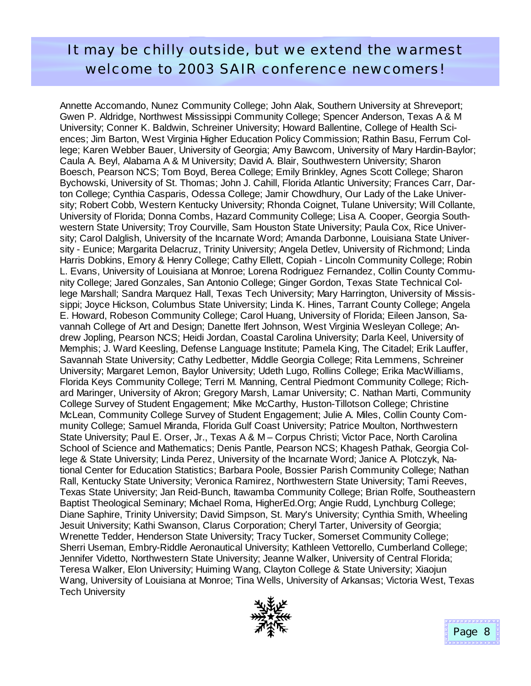## It may be chilly outside, but we extend the warmest welcome to 2003 SAIR conference newcomers!

Annette Accomando, Nunez Community College; John Alak, Southern University at Shreveport; Gwen P. Aldridge, Northwest Mississippi Community College; Spencer Anderson, Texas A & M University; Conner K. Baldwin, Schreiner University; Howard Ballentine, College of Health Sciences; Jim Barton, West Virginia Higher Education Policy Commission; Rathin Basu, Ferrum College; Karen Webber Bauer, University of Georgia; Amy Bawcom, University of Mary Hardin-Baylor; Caula A. Beyl, Alabama A & M University; David A. Blair, Southwestern University; Sharon Boesch, Pearson NCS; Tom Boyd, Berea College; Emily Brinkley, Agnes Scott College; Sharon Bychowski, University of St. Thomas; John J. Cahill, Florida Atlantic University; Frances Carr, Darton College; Cynthia Casparis, Odessa College; Jamir Chowdhury, Our Lady of the Lake University; Robert Cobb, Western Kentucky University; Rhonda Coignet, Tulane University; Will Collante, University of Florida; Donna Combs, Hazard Community College; Lisa A. Cooper, Georgia Southwestern State University; Troy Courville, Sam Houston State University; Paula Cox, Rice University; Carol Dalglish, University of the Incarnate Word; Amanda Darbonne, Louisiana State University - Eunice; Margarita Delacruz, Trinity University; Angela Detlev, University of Richmond; Linda Harris Dobkins, Emory & Henry College; Cathy Ellett, Copiah - Lincoln Community College; Robin L. Evans, University of Louisiana at Monroe; Lorena Rodriguez Fernandez, Collin County Community College; Jared Gonzales, San Antonio College; Ginger Gordon, Texas State Technical College Marshall; Sandra Marquez Hall, Texas Tech University; Mary Harrington, University of Mississippi; Joyce Hickson, Columbus State University; Linda K. Hines, Tarrant County College; Angela E. Howard, Robeson Community College; Carol Huang, University of Florida; Eileen Janson, Savannah College of Art and Design; Danette Ifert Johnson, West Virginia Wesleyan College; Andrew Jopling, Pearson NCS; Heidi Jordan, Coastal Carolina University; Darla Keel, University of Memphis; J. Ward Keesling, Defense Language Institute; Pamela King, The Citadel; Erik Lauffer, Savannah State University; Cathy Ledbetter, Middle Georgia College; Rita Lemmens, Schreiner University; Margaret Lemon, Baylor University; Udeth Lugo, Rollins College; Erika MacWilliams, Florida Keys Community College; Terri M. Manning, Central Piedmont Community College; Richard Maringer, University of Akron; Gregory Marsh, Lamar University; C. Nathan Marti, Community College Survey of Student Engagement; Mike McCarthy, Huston-Tillotson College; Christine McLean, Community College Survey of Student Engagement; Julie A. Miles, Collin County Community College; Samuel Miranda, Florida Gulf Coast University; Patrice Moulton, Northwestern State University; Paul E. Orser, Jr., Texas A & M – Corpus Christi; Victor Pace, North Carolina School of Science and Mathematics; Denis Pantle, Pearson NCS; Khagesh Pathak, Georgia College & State University; Linda Perez, University of the Incarnate Word; Janice A. Plotczyk, National Center for Education Statistics; Barbara Poole, Bossier Parish Community College; Nathan Rall, Kentucky State University; Veronica Ramirez, Northwestern State University; Tami Reeves, Texas State University; Jan Reid-Bunch, Itawamba Community College; Brian Rolfe, Southeastern Baptist Theological Seminary; Michael Roma, HigherEd.Org; Angie Rudd, Lynchburg College; Diane Saphire, Trinity University; David Simpson, St. Mary's University; Cynthia Smith, Wheeling Jesuit University; Kathi Swanson, Clarus Corporation; Cheryl Tarter, University of Georgia; Wrenette Tedder, Henderson State University; Tracy Tucker, Somerset Community College; Sherri Useman, Embry-Riddle Aeronautical University; Kathleen Vettorello, Cumberland College; Jennifer Videtto, Northwestern State University; Jeanne Walker, University of Central Florida; Teresa Walker, Elon University; Huiming Wang, Clayton College & State University; Xiaojun Wang, University of Louisiana at Monroe; Tina Wells, University of Arkansas; Victoria West, Texas Tech University

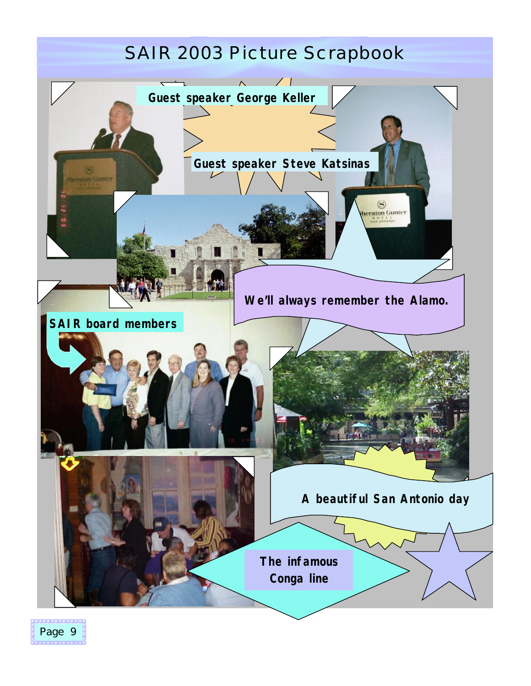# SAIR 2003 Picture Scrapbook